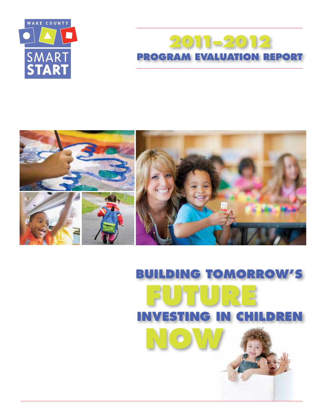

## **2011–2012 PROGRAM EVALUATION REPORT**



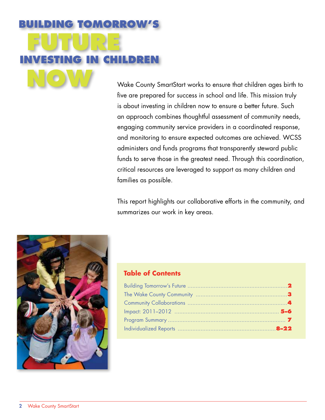# **Building Tomorrow's Future Investing in Children Now**

Wake County SmartStart works to ensure that children ages birth to five are prepared for success in school and life. This mission truly is about investing in children now to ensure a better future. Such an approach combines thoughtful assessment of community needs, engaging community service providers in a coordinated response, and monitoring to ensure expected outcomes are achieved. WCSS administers and funds programs that transparently steward public funds to serve those in the greatest need. Through this coordination, critical resources are leveraged to support as many children and families as possible.

This report highlights our collaborative efforts in the community, and summarizes our work in key areas.



#### **Table of Contents**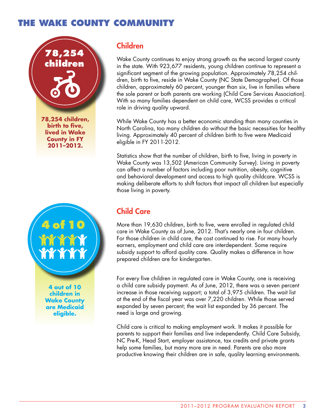## **The Wake County Community**





**4 out of 10 children in Wake County are Medicaid eligible.** 

#### Children

Wake County continues to enjoy strong growth as the second largest county in the state. With 923,677 residents, young children continue to represent a significant segment of the growing population. Approximately 78,254 children, birth to five, reside in Wake County (NC State Demographer). Of those children, approximately 60 percent, younger than six, live in families where the sole parent or both parents are working (Child Care Services Association). With so many families dependent on child care, WCSS provides a critical role in driving quality upward.

While Wake County has a better economic standing than many counties in North Carolina, too many children do without the basic necessities for healthy living. Approximately 40 percent of children birth to five were Medicaid eligible in FY 2011-2012.

Statistics show that the number of children, birth to five, living in poverty in Wake County was 13,502 (American Community Survey). Living in poverty can affect a number of factors including poor nutrition, obesity, cognitive and behavioral development and access to high quality childcare. WCSS is making deliberate efforts to shift factors that impact all children but especially those living in poverty.

## Child Care

More than 19,630 children, birth to five, were enrolled in regulated child care in Wake County as of June, 2012. That's nearly one in four children. For those children in child care, the cost continued to rise. For many hourly earners, employment and child care are interdependent. Some require subsidy support to afford quality care. Quality makes a difference in how prepared children are for kindergarten.

For every five children in regulated care in Wake County, one is receiving a child care subsidy payment. As of June, 2012, there was a seven percent increase in those receiving support; a total of 3,975 children. The wait list at the end of the fiscal year was over 7,220 children. While those served expanded by seven percent; the wait list expanded by 36 percent. The need is large and growing.

Child care is critical to making employment work. It makes it possible for parents to support their families and live independently. Child Care Subsidy, NC Pre-K, Head Start, employer assistance, tax credits and private grants help some families, but many more are in need. Parents are also more productive knowing their children are in safe, quality learning environments.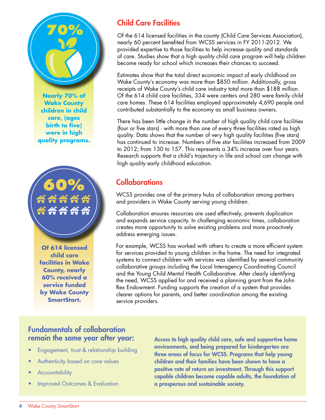

**Nearly 70% of Wake County children in child care, (ages birth to five) were in high quality programs.**

# **60%**

**Of 614 licensed child care facilities in Wake County, nearly 60% received a service funded by Wake County SmartStart.**

## Child Care Facilities

Of the 614 licensed facilities in the county (Child Care Services Association), nearly 60 percent benefited from WCSS services in FY 2011-2012. We provided expertise to those facilities to help increase quality and standards of care. Studies show that a high quality child care program will help children become ready for school which increases their chances to succeed.

Estimates show that the total direct economic impact of early childhood on Wake County's economy was more than \$850 million. Additionally, gross receipts of Wake County's child care industry total more than \$188 million. Of the 614 child care facilities, 334 were centers and 280 were family child care homes. These 614 facilities employed approximately 4,690 people and contributed substantially to the economy as small business owners.

There has been little change in the number of high quality child care facilities (four or five stars) - with more than one of every three facilities rated as high quality. Data shows that the number of very high quality facilities (five stars) has continued to increase. Numbers of five star facilities increased from 2009 to 2012; from 130 to 157. This represents a 34% increase over four years. Research supports that a child's trajectory in life and school can change with high quality early childhood education.

## **Collaborations**

WCSS provides one of the primary hubs of collaboration among partners and providers in Wake County serving young children.

Collaboration ensures resources are used effectively, prevents duplication and expands service capacity. In challenging economic times, collaboration creates more opportunity to solve existing problems and more proactively address emerging issues.

For example, WCSS has worked with others to create a more efficient system for services provided to young children in the home. The need for integrated systems to connect children with services was identified by several community collaborative groups including the Local Interagency Coordinating Council and the Young Child Mental Health Collaborative. After clearly identifying the need, WCSS applied for and received a planning grant from the John Rex Endowment. Funding supports the creation of a system that provides clearer options for parents, and better coordination among the existing service providers.

#### Fundamentals of collaboration remain the same year after year:

- Engagement, trust & relationship building
- Authenticity based on core values
- **Accountability**
- Improved Outcomes & Evaluation

Access to high quality child care, safe and supportive home environments, and being prepared for kindergarten are three areas of focus for WCSS. Programs that help young children and their families have been shown to have a positive rate of return on investment. Through this support capable children become capable adults, the foundation of a prosperous and sustainable society.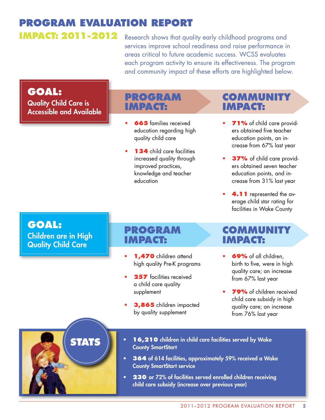## **Program Evaluation Report Impact: 2011-2012**

Research shows that quality early childhood programs and services improve school readiness and raise performance in areas critical to future academic success. WCSS evaluates each program activity to ensure its effectiveness. The program and community impact of these efforts are highlighted below.

## **Goal:**

Quality Child Care is Accessible and Available

## **Program Impact:**

- **665** families received education regarding high quality child care
- **134** child care facilities increased quality through improved practices, knowledge and teacher education

## **Community Impact:**

- **71%** of child care providers obtained five teacher education points, an increase from 67% last year
- **37%** of child care providers obtained seven teacher education points, and increase from 31% last year
- **4.11** represented the average child star rating for facilities in Wake County

## **Goal:**

Children are in High Quality Child Care

### **Program Impact:**

- **1,470** children attend high quality Pre-K programs
- **257** facilities received a child care quality supplement
- 3,865 children impacted by quality supplement

## **Community Impact:**

- **69%** of all children, birth to five, were in high quality care; an increase from 67% last year
- **79%** of children received child care subsidy in high quality care; an increase from 76% last year

# **STATS**

- **16,210** children in child care facilities served by Wake County SmartStart
- **364** of 614 facilities, approximately 59% received a Wake County SmartStart service
- **230** or 72% of facilities served enrolled children receiving child care subsidy (increase over previous year)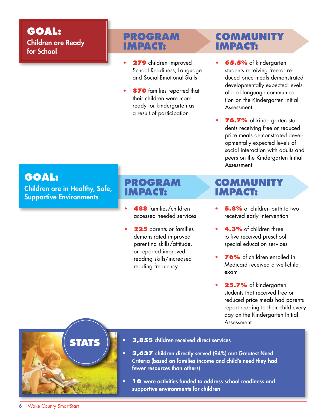## **Goal:** Children are Ready for School

## **Program Impact:**

- **279** children improved School Readiness, Language and Social-Emotional Skills
- **870** families reported that their children were more ready for kindergarten as a result of participation

## **Community Impact:**

- **65.5%** of kindergarten students receiving free or reduced price meals demonstrated developmentally expected levels of oral language communication on the Kindergarten Initial Assessment.
- **76.7%** of kindergarten students receiving free or reduced price meals demonstrated developmentally expected levels of social interaction with adults and peers on the Kindergarten Initial Assessment.

## **Goal:**

Children are in Healthy, Safe, Supportive Environments

## **Program Impact:**

- **488** families/children accessed needed services
- **225** parents or families demonstrated improved parenting skills/attitude, or reported improved reading skills/increased reading frequency

## **Community Impact:**

- **5.8%** of children birth to two received early intervention
- **4.3%** of children three to five received preschool special education services
- **76%** of children enrolled in Medicaid received a well-child exam
- **25.7%** of kindergarten students that received free or reduced price meals had parents report reading to their child every day on the Kindergarten Initial Assessment.

# **STATS**

- **3,855** children received direct services
- **3,637** children directly served (94%) met Greatest Need Criteria (based on families income and child's need they had fewer resources than others)
- **10** were activities funded to address school readiness and supportive environments for children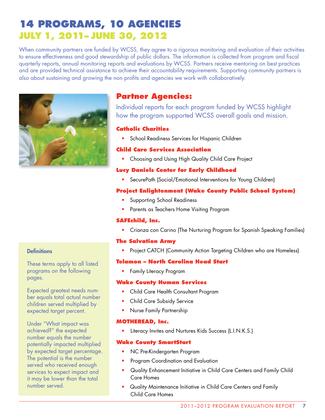## **14 Programs, 10 Agencies July 1, 2011– June 30, 2012**

When community partners are funded by WCSS, they agree to a rigorous monitoring and evaluation of their activities to ensure effectiveness and good stewardship of public dollars. The information is collected from program and fiscal quarterly reports, annual monitoring reports and evaluations by WCSS. Partners receive mentoring on best practices and are provided technical assistance to achieve their accountability requirements. Supporting community partners is also about sustaining and growing the non profits and agencies we work with collaboratively.



### **Partner Agencies:**

Individual reports for each program funded by WCSS highlight how the program supported WCSS overall goals and mission.

#### **Catholic Charities**

• School Readiness Services for Hispanic Children

#### **Child Care Services Association**

• Choosing and Using High Quality Child Care Project

#### **Lucy Daniels Center for Early Childhood**

• SecurePath (Social/Emotional Interventions for Young Children)

#### **Project Enlightenment (Wake County Public School System)**

- Supporting School Readiness
- Parents as Teachers Home Visiting Program

#### **SAFEchild, Inc.**

• Crianza con Carino (The Nurturing Program for Spanish Speaking Families)

#### **The Salvation Army**

• Project CATCH (Community Action Targeting Children who are Homeless)

#### **Telamon – North Carolina Head Start**

• Family Literacy Program

#### **Wake County Human Services**

- Child Care Health Consultant Program
- Child Care Subsidy Service
- Nurse Family Partnership

#### **MOTHEREAD, Inc.**

• Literacy Invites and Nurtures Kids Success (L.I.N.K.S.)

#### **Wake County SmartStart**

- NC Pre-Kindergarten Program
- Program Coordination and Evaluation
- Quality Enhancement Initiative in Child Care Centers and Family Child Care Homes
- Quality Maintenance Initiative in Child Care Centers and Family Child Care Homes

#### **Definitions**

These terms apply to all listed programs on the following pages.

Expected greatest needs number equals total actual number children served multiplied by expected target percent.

Under "What impact was achieved?" the expected number equals the number potentially impacted multiplied by expected target percentage. The potential is the number served who received enough services to expect impact and it may be lower than the total number served.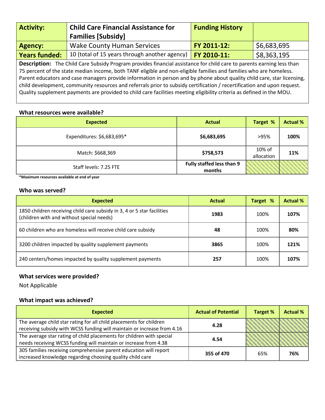| <b>Activity:</b>                                                                                                      | <b>Child Care Financial Assistance for</b>                                                                        | <b>Funding History</b> |             |  |
|-----------------------------------------------------------------------------------------------------------------------|-------------------------------------------------------------------------------------------------------------------|------------------------|-------------|--|
|                                                                                                                       | <b>Families [Subsidy]</b>                                                                                         |                        |             |  |
| Agency:                                                                                                               | <b>Wake County Human Services</b>                                                                                 | FY 2011-12:            | \$6,683,695 |  |
| <b>Years funded:</b>                                                                                                  | 10 (total of 15 years through another agency)                                                                     | FY 2010-11:            | \$8,363,195 |  |
| Description: The Child Care Subsidy Program provides financial assistance for child care to parents earning less than |                                                                                                                   |                        |             |  |
|                                                                                                                       | 75 nercent of the state median income, both TANE eligible and non-eligible families and families who are homeless |                        |             |  |

ercent of the state median income, both TANF eligible and non-eligible families and families who are homeless. Parent educators and case managers provide information in person and by phone about quality child care, star licensing, child development, community resources and referrals prior to subsidy certification / recertification and upon request. Quality supplement payments are provided to child care facilities meeting eligibility criteria as defined in the MOU.

#### **What resources were available?**

| <b>Expected</b>            | <b>Actual</b>                       | Target %             | <b>Actual %</b> |
|----------------------------|-------------------------------------|----------------------|-----------------|
| Expenditures: \$6,683,695* | \$6,683,695                         | >95%                 | 100%            |
| Match: \$668,369           | \$758,573                           | 10% of<br>allocation | 11%             |
| Staff levels: 7.25 FTE     | Fully staffed less than 9<br>months |                      |                 |

**\*Maximum resources available at end of year**

#### **Who was served?**

| <b>Expected</b>                                                                                                      | <b>Actual</b> | Target % | <b>Actual %</b> |
|----------------------------------------------------------------------------------------------------------------------|---------------|----------|-----------------|
| 1850 children receiving child care subsidy in 3, 4 or 5 star facilities<br>(children with and without special needs) | 1983          | 100%     | 107%            |
| 60 children who are homeless will receive child care subsidy                                                         | 48            | 100%     | 80%             |
| 3200 children impacted by quality supplement payments                                                                | 3865          | 100%     | 121%            |
| 240 centers/homes impacted by quality supplement payments                                                            | 257           | 100%     | 107%            |

#### **What services were provided?**

Not Applicable

| <b>Expected</b>                                                                                                                                | <b>Actual of Potential</b> | <b>Target %</b> | <b>Actual %</b> |
|------------------------------------------------------------------------------------------------------------------------------------------------|----------------------------|-----------------|-----------------|
| The average child star rating for all child placements for children<br>receiving subsidy with WCSS funding will maintain or increase from 4.16 | 4.28                       |                 |                 |
| The average star rating of child placements for children with special<br>needs receiving WCSS funding will maintain or increase from 4.38      | 4.54                       |                 |                 |
| 305 families receiving comprehensive parent education will report<br>increased knowledge regarding choosing quality child care                 | 355 of 470                 | 65%             | 76%             |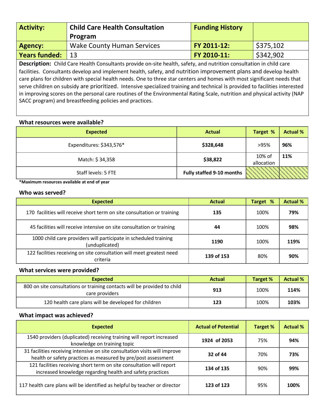| <b>Activity:</b>     | <b>Child Care Health Consultation</b> | <b>Funding History</b> |           |
|----------------------|---------------------------------------|------------------------|-----------|
|                      | Program                               |                        |           |
| Agency:              | <b>Wake County Human Services</b>     | FY 2011-12:            | \$375,102 |
| <b>Years funded:</b> | 13                                    | FY 2010-11:            | \$342,902 |

**Description:** Child Care Health Consultants provide on-site health, safety, and nutrition consultation in child care facilities. Consultants develop and implement health, safety, and nutrition improvement plans and develop health care plans for children with special health needs. One to three star centers and homes with most significant needs that serve children on subsidy are prioritized. Intensive specialized training and technical is provided to facilities interested in improving scores on the personal care routines of the Environmental Rating Scale, nutrition and physical activity (NAP SACC program) and breastfeeding policies and practices.

#### **What resources were available?**

| <b>Expected</b>          | <b>Actual</b>                    | Target %             | <b>Actual %</b> |
|--------------------------|----------------------------------|----------------------|-----------------|
| Expenditures: \$343,576* | \$328,648                        | >95%                 | 96%             |
| Match: \$34,358          | \$38,822                         | 10% of<br>allocation | 11%             |
| Staff levels: 5 FTE      | <b>Fully staffed 9-10 months</b> |                      |                 |

**\*Maximum resources available at end of year**

#### **Who was served?**

| <b>Expected</b>                                                                    | <b>Actual</b> | <b>Target %</b> | <b>Actual %</b> |
|------------------------------------------------------------------------------------|---------------|-----------------|-----------------|
| 170 facilities will receive short term on site consultation or training            | 135           | 100%            | 79%             |
| 45 facilities will receive intensive on site consultation or training              | 44            | 100%            | 98%             |
| 1000 child care providers will participate in scheduled training<br>(unduplicated) | 1190          | 100%            | 119%            |
| 122 facilities receiving on site consultation will meet greatest need<br>criteria  | 139 of 153    | 80%             | 90%             |

#### **What services were provided?**

| <b>Expected</b>                                                                            | <b>Actual</b> | Target % | <b>Actual %</b> |
|--------------------------------------------------------------------------------------------|---------------|----------|-----------------|
| 800 on site consultations or training contacts will be provided to child<br>care providers | 913           | 100%     | 114%            |
| 120 health care plans will be developed for children                                       | 123           | 100%     | 103%            |

| <b>Expected</b>                                                                                                                             | <b>Actual of Potential</b> | Target % | <b>Actual %</b> |
|---------------------------------------------------------------------------------------------------------------------------------------------|----------------------------|----------|-----------------|
| 1540 providers (duplicated) receiving training will report increased<br>knowledge on training topic                                         | 1924 of 2053               | 75%      | 94%             |
| 31 facilities receiving intensive on site consultation visits will improve<br>health or safety practices as measured by pre/post assessment | 32 of 44                   | 70%      | 73%             |
| 121 facilities receiving short term on site consultation will report<br>increased knowledge regarding health and safety practices           | 134 of 135                 | 90%      | 99%             |
| 117 health care plans will be identified as helpful by teacher or director                                                                  | 123 of 123                 | 95%      | 100%            |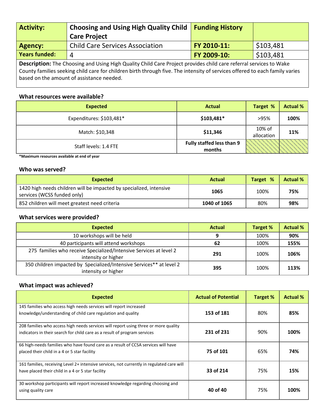| <b>Activity:</b>                                                                                                         | <b>Choosing and Using High Quality Child</b><br><b>Care Project</b> | <b>Funding History</b> |           |  |
|--------------------------------------------------------------------------------------------------------------------------|---------------------------------------------------------------------|------------------------|-----------|--|
| <b>Agency:</b>                                                                                                           | <b>Child Care Services Association</b>                              | FY 2010-11:            | \$103,481 |  |
| <b>Years funded:</b>                                                                                                     |                                                                     | FY 2009-10:            | \$103,481 |  |
| <b>Description:</b> The Changing and Union Uigh Ouglin: Child Care Draiget provides abild care referred comises to Walco |                                                                     |                        |           |  |

**Description:** The Choosing and Using High Quality Child Care Project provides child care referral services to Wake County families seeking child care for children birth through five. The intensity of services offered to each family varies based on the amount of assistance needed.

#### **What resources were available?**

| <b>Expected</b>          | <b>Actual</b>                              | Target %             | <b>Actual %</b> |
|--------------------------|--------------------------------------------|----------------------|-----------------|
| Expenditures: \$103,481* | \$103,481*                                 | >95%                 | 100%            |
| Match: \$10,348          | \$11,346                                   | 10% of<br>allocation | 11%             |
| Staff levels: 1.4 FTE    | <b>Fully staffed less than 9</b><br>months |                      |                 |

**\*Maximum resources available at end of year**

#### **Who was served?**

| <b>Expected</b>                                                                                    | <b>Actual</b> | Target % | <b>Actual %</b> |
|----------------------------------------------------------------------------------------------------|---------------|----------|-----------------|
| 1420 high needs children will be impacted by specialized, intensive<br>services (WCSS funded only) | 1065          | 100%     | 75%             |
| 852 children will meet greatest need criteria                                                      | 1040 of 1065  | 80%      | 98%             |

#### **What services were provided?**

| <b>Expected</b>                                                                             | Actual | Target % | <b>Actual %</b> |
|---------------------------------------------------------------------------------------------|--------|----------|-----------------|
| 10 workshops will be held                                                                   |        | 100%     | 90%             |
| 40 participants will attend workshops                                                       | 62     | 100%     | 155%            |
| 275 families who receive Specialized/Intensive Services at level 2<br>intensity or higher   | 291    | 100%     | 106%            |
| 350 children impacted by Specialized/Intensive Services** at level 2<br>intensity or higher | 395    | 100%     | 113%            |

| <b>Expected</b>                                                                                                                                                  | <b>Actual of Potential</b> | Target % | <b>Actual %</b> |
|------------------------------------------------------------------------------------------------------------------------------------------------------------------|----------------------------|----------|-----------------|
| 145 families who access high needs services will report increased<br>knowledge/understanding of child care regulation and quality                                | 153 of 181                 | 80%      | 85%             |
| 208 families who access high needs services will report using three or more quality<br>indicators in their search for child care as a result of program services | 231 of 231                 | 90%      | 100%            |
| 66 high-needs families who have found care as a result of CCSA services will have<br>placed their child in a 4 or 5 star facility                                | 75 of 101                  | 65%      | 74%             |
| 161 families, receiving Level 2+ intensive services, not currently in regulated care will<br>have placed their child in a 4 or 5 star facility                   | 33 of 214                  | 75%      | 15%             |
| 30 workshop participants will report increased knowledge regarding choosing and<br>using quality care                                                            | 40 of 40                   | 75%      | 100%            |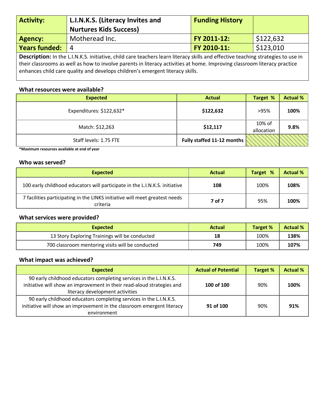| <b>Activity:</b>                                                                                                                 | L.I.N.K.S. (Literacy Invites and<br><b>Nurtures Kids Success)</b> | <b>Funding History</b> |           |
|----------------------------------------------------------------------------------------------------------------------------------|-------------------------------------------------------------------|------------------------|-----------|
| <b>Agency:</b>                                                                                                                   | Motheread Inc.                                                    | FY 2011-12:            | \$122,632 |
| <b>Years funded:</b>                                                                                                             | $\overline{4}$                                                    | FY 2010-11:            | \$123,010 |
| Description: In the L.I.N.K.S. initiative, child care teachers learn literacy skills and effective teaching strategies to use in |                                                                   |                        |           |

their classrooms as well as how to involve parents in literacy activities at home. Improving classroom literacy practice enhances child care quality and develops children's emergent literacy skills.

#### **What resources were available?**

| <b>Expected</b>          | <b>Actual</b>              | Target %             | <b>Actual %</b> |
|--------------------------|----------------------------|----------------------|-----------------|
| Expenditures: \$122,632* | \$122,632                  | >95%                 | 100%            |
| Match: \$12,263          | \$12,117                   | 10% of<br>allocation | 9.8%            |
| Staff levels: 1.75 FTE   | Fully staffed 11-12 months |                      |                 |

**\*Maximum resources available at end of year**

#### **Who was served?**

| <b>Expected</b>                                                                         | <b>Actual</b> | %<br><b>Target</b> | <b>Actual %</b> |
|-----------------------------------------------------------------------------------------|---------------|--------------------|-----------------|
| 100 early childhood educators will participate in the L.I.N.K.S. initiative             | 108           | 100%               | 108%            |
| 7 facilities participating in the LINKS initiative will meet greatest needs<br>criteria | 7 of 7        | 95%                | 100%            |

#### **What services were provided?**

| <b>Expected</b>                                  | <b>Actual</b> | Target % | <b>Actual %</b> |
|--------------------------------------------------|---------------|----------|-----------------|
| 13 Story Exploring Trainings will be conducted   | 18            | 100%     | 138%            |
| 700 classroom mentoring visits will be conducted | 749           | 100%     | 107%            |

| <b>Expected</b>                                                                                                                                                                 | <b>Actual of Potential</b> | <b>Target %</b> | <b>Actual %</b> |
|---------------------------------------------------------------------------------------------------------------------------------------------------------------------------------|----------------------------|-----------------|-----------------|
| 90 early childhood educators completing services in the L.I.N.K.S.<br>initiative will show an improvement in their read-aloud strategies and<br>literacy development activities | 100 of 100                 | 90%             | 100%            |
| 90 early childhood educators completing services in the L.I.N.K.S.<br>initiative will show an improvement in the classroom emergent literacy<br>environment                     | 91 of 100                  | 90%             | 91%             |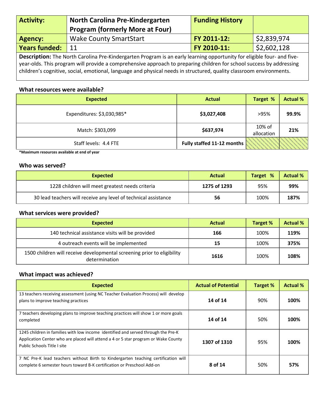| <b>Activity:</b>     | <b>North Carolina Pre-Kindergarten</b><br><b>Program (formerly More at Four)</b> | <b>Funding History</b> |             |
|----------------------|----------------------------------------------------------------------------------|------------------------|-------------|
| Agency:              | <b>Wake County SmartStart</b>                                                    | FY 2011-12:            | \$2,839,974 |
| <b>Years funded:</b> | 11                                                                               | FY 2010-11:            | \$2,602,128 |
|                      |                                                                                  |                        |             |

**Description:** The North Carolina Pre-Kindergarten Program is an early learning opportunity for eligible four- and fiveyear-olds. This program will provide a comprehensive approach to preparing children for school success by addressing children's cognitive, social, emotional, language and physical needs in structured, quality classroom environments.

#### **What resources were available?**

| <b>Expected</b>            | <b>Actual</b>              | Target %             | <b>Actual %</b> |
|----------------------------|----------------------------|----------------------|-----------------|
| Expenditures: \$3,030,985* | \$3,027,408                | >95%                 | 99.9%           |
| Match: \$303,099           | \$637,974                  | 10% of<br>allocation | 21%             |
| Staff levels: 4.4 FTE      | Fully staffed 11-12 months |                      |                 |

**\*Maximum resources available at end of year**

#### **Who was served?**

| Expected                                                        | Actual       | Target % | <b>Actual %</b> |
|-----------------------------------------------------------------|--------------|----------|-----------------|
| 1228 children will meet greatest needs criteria                 | 1275 of 1293 | 95%      | 99%             |
| 30 lead teachers will receive any level of technical assistance | 56           | 100%     | 187%            |

#### **What services were provided?**

| <b>Expected</b>                                                                          | <b>Actual</b> | Target % | <b>Actual %</b> |
|------------------------------------------------------------------------------------------|---------------|----------|-----------------|
| 140 technical assistance visits will be provided                                         | 166           | 100%     | 119%            |
| 4 outreach events will be implemented                                                    | 15            | 100%     | 375%            |
| 1500 children will receive developmental screening prior to eligibility<br>determination | 1616          | 100%     | 108%            |

| <b>Expected</b>                                                                                                                                                                                       | <b>Actual of Potential</b> | Target % | <b>Actual %</b> |
|-------------------------------------------------------------------------------------------------------------------------------------------------------------------------------------------------------|----------------------------|----------|-----------------|
| 13 teachers receiving assessment (using NC Teacher Evaluation Process) will develop<br>plans to improve teaching practices                                                                            | 14 of 14                   | 90%      | 100%            |
| 7 teachers developing plans to improve teaching practices will show 1 or more goals<br>completed                                                                                                      | 14 of 14                   | 50%      | 100%            |
| 1245 children in families with low income identified and served through the Pre-K<br>Application Center who are placed will attend a 4 or 5 star program or Wake County<br>Public Schools Title Lsite | 1307 of 1310               | 95%      | 100%            |
| 7 NC Pre-K lead teachers without Birth to Kindergarten teaching certification will<br>complete 6 semester hours toward B-K certification or Preschool Add-on                                          | 8 of 14                    | 50%      | 57%             |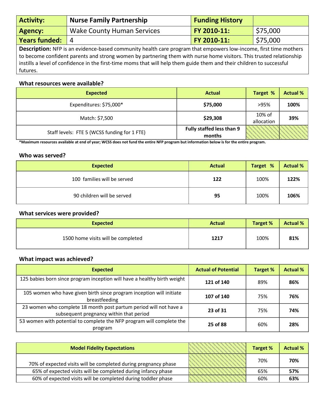| <b>Activity:</b>                                                                                                                                                                                                                               | <b>Nurse Family Partnership</b>   | <b>Funding History</b> |          |  |
|------------------------------------------------------------------------------------------------------------------------------------------------------------------------------------------------------------------------------------------------|-----------------------------------|------------------------|----------|--|
| <b>Agency:</b>                                                                                                                                                                                                                                 | <b>Wake County Human Services</b> | FY 2010-11:            | \$75,000 |  |
| <b>Years funded:</b>                                                                                                                                                                                                                           | 4                                 | FY 2010-11:            | \$75,000 |  |
| <b>Description:</b> NFP is an evidence-based community health care program that empowers low-income, first time mothers<br>to become confident parents and strong women by partnering them with nurse home visitors. This trusted relationship |                                   |                        |          |  |

to become confident parents and strong women by partnering them with nurse home visitors. This trusted relationship instills a level of confidence in the first-time moms that will help them guide them and their children to successful futures.

#### **What resources were available?**

| <b>Expected</b>                              | <b>Actual</b>                       | Target %             | <b>Actual %</b> |
|----------------------------------------------|-------------------------------------|----------------------|-----------------|
| Expenditures: \$75,000*                      | \$75,000                            | >95%                 | 100%            |
| Match: \$7,500                               | \$29,308                            | 10% of<br>allocation | 39%             |
| Staff levels: FTE 5 (WCSS funding for 1 FTE) | Fully staffed less than 9<br>months |                      |                 |

**\*Maximum resources available at end of year; WCSS does not fund the entire NFP program but information below is for the entire program.**

#### **Who was served?**

| <b>Expected</b>             | <b>Actual</b> | Target % | <b>Actual %</b> |
|-----------------------------|---------------|----------|-----------------|
| 100 families will be served | 122           | 100%     | 122%            |
| 90 children will be served  | 95            | 100%     | 106%            |

#### **What services were provided?**

| <b>Expected</b>                    | <b>Actual</b> | <b>Target %</b> | <b>Actual %</b> |
|------------------------------------|---------------|-----------------|-----------------|
| 1500 home visits will be completed | 1217          | 100%            | 81%             |

| <b>Expected</b>                                                                                              | <b>Actual of Potential</b> | Target % | <b>Actual %</b> |
|--------------------------------------------------------------------------------------------------------------|----------------------------|----------|-----------------|
| 125 babies born since program inception will have a healthy birth weight                                     | 121 of 140                 | 89%      | 86%             |
| 105 women who have given birth since program inception will initiate<br>breastfeeding                        | 107 of 140                 | 75%      | 76%             |
| 23 women who complete 18 month post partum period will not have a<br>subsequent pregnancy within that period | 23 of 31                   | 75%      | 74%             |
| 53 women with potential to complete the NFP program will complete the<br>program                             | 25 of 88                   | 60%      | 28%             |

| <b>Model Fidelity Expectations</b>                              | <b>Target %</b> | <b>Actual %</b> |
|-----------------------------------------------------------------|-----------------|-----------------|
| 70% of expected visits will be completed during pregnancy phase | 70%             | 70%             |
| 65% of expected visits will be completed during infancy phase   | 65%             | 57%             |
| 60% of expected visits will be completed during toddler phase   | 60%             | 63%             |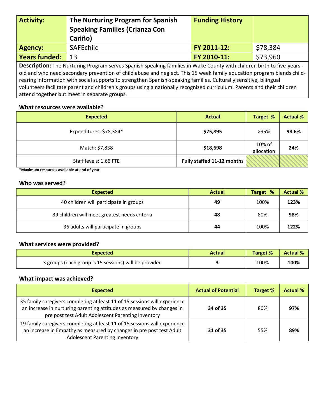| <b>Activity:</b>                                                                                                      | The Nurturing Program for Spanish<br><b>Speaking Families (Crianza Con</b><br>Cariño) | <b>Funding History</b> |          |  |
|-----------------------------------------------------------------------------------------------------------------------|---------------------------------------------------------------------------------------|------------------------|----------|--|
| <b>Agency:</b>                                                                                                        | <b>SAFEchild</b>                                                                      | FY 2011-12:            | \$78,384 |  |
| <b>Years funded:</b>                                                                                                  | 13                                                                                    | FY 2010-11:            | \$73,960 |  |
| Description: The Nurturing Program serves Spanish speaking families in Wake County with children birth to five-years- |                                                                                       |                        |          |  |

old and who need secondary prevention of child abuse and neglect. This 15 week family education program blends childrearing information with social supports to strengthen Spanish-speaking families. Culturally sensitive, bilingual volunteers facilitate parent and children's groups using a nationally recognized curriculum. Parents and their children attend together but meet in separate groups.

#### **What resources were available?**

| <b>Expected</b>         | <b>Actual</b>              | Target %             | <b>Actual %</b> |
|-------------------------|----------------------------|----------------------|-----------------|
| Expenditures: \$78,384* | \$75,895                   | >95%                 | 98.6%           |
| Match: \$7,838          | \$18,698                   | 10% of<br>allocation | 24%             |
| Staff levels: 1.66 FTE  | Fully staffed 11-12 months |                      |                 |

**\*Maximum resources available at end of year**

#### **Who was served?**

| <b>Expected</b>                               | <b>Actual</b> | Target % | <b>Actual %</b> |
|-----------------------------------------------|---------------|----------|-----------------|
| 40 children will participate in groups        | 49            | 100%     | 123%            |
| 39 children will meet greatest needs criteria | 48            | 80%      | 98%             |
| 36 adults will participate in groups          | 44            | 100%     | 122%            |

#### **What services were provided?**

| <b>Expected</b>                                       | Actual | <b>Target %</b> | <b>Actual %</b> |
|-------------------------------------------------------|--------|-----------------|-----------------|
| 3 groups (each group is 15 sessions) will be provided |        | 100%            | 100%            |

| <b>Expected</b>                                                                                                                                                                                            | <b>Actual of Potential</b> | <b>Target %</b> | <b>Actual %</b> |
|------------------------------------------------------------------------------------------------------------------------------------------------------------------------------------------------------------|----------------------------|-----------------|-----------------|
| 35 family caregivers completing at least 11 of 15 sessions will experience<br>an increase in nurturing parenting attitudes as measured by changes in<br>pre post test Adult Adolescent Parenting Inventory | 34 of 35                   | 80%             | 97%             |
| 19 family caregivers completing at least 11 of 15 sessions will experience<br>an increase in Empathy as measured by changes in pre post test Adult<br><b>Adolescent Parenting Inventory</b>                | 31 of 35                   | 55%             | 89%             |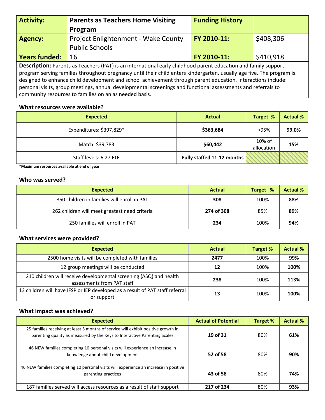| <b>Activity:</b>                                                                                                                                                                                                                      | <b>Parents as Teachers Home Visiting</b>               | <b>Funding History</b> |           |  |
|---------------------------------------------------------------------------------------------------------------------------------------------------------------------------------------------------------------------------------------|--------------------------------------------------------|------------------------|-----------|--|
|                                                                                                                                                                                                                                       | Program                                                |                        |           |  |
| <b>Agency:</b>                                                                                                                                                                                                                        | Project Enlightenment - Wake County                    | FY 2010-11:            | \$408,306 |  |
|                                                                                                                                                                                                                                       | <b>Public Schools</b>                                  |                        |           |  |
| <b>Years funded:</b>                                                                                                                                                                                                                  | 16                                                     | FY 2010-11:            | \$410,918 |  |
| <b>Description:</b> Parents as Teachers (PAT) is an international early childhood parent education and family support                                                                                                                 |                                                        |                        |           |  |
| program serving families throughout pregnancy until their child enters kindergarten, usually age five. The program is<br>designed to enhance child development and school achievement through parent education. Interactions include: |                                                        |                        |           |  |
| personal visits, group meetings, annual developmental screenings and functional assessments and referrals to                                                                                                                          |                                                        |                        |           |  |
|                                                                                                                                                                                                                                       | community resources to families on an as needed basis. |                        |           |  |

| <b>Expected</b>          | <b>Actual</b>              | Target %             | <b>Actual %</b> |
|--------------------------|----------------------------|----------------------|-----------------|
| Expenditures: \$397,829* | \$363,684                  | >95%                 | 99.0%           |
| Match: \$39,783          | \$60,442                   | 10% of<br>allocation | 15%             |
| Staff levels: 6.27 FTE   | Fully staffed 11-12 months |                      |                 |

**\*Maximum resources available at end of year**

#### **Who was served?**

| <b>Expected</b>                               | <b>Actual</b> | Target % | <b>Actual %</b> |
|-----------------------------------------------|---------------|----------|-----------------|
| 350 children in families will enroll in PAT   | 308           | 100%     | 88%             |
| 262 children will meet greatest need criteria | 274 of 308    | 85%      | 89%             |
| 250 families will enroll in PAT               | 234           | 100%     | 94%             |

#### **What services were provided?**

| <b>Expected</b>                                                                                  | <b>Actual</b> | Target % | <b>Actual %</b> |
|--------------------------------------------------------------------------------------------------|---------------|----------|-----------------|
| 2500 home visits will be completed with families                                                 | 2477          | 100%     | 99%             |
| 12 group meetings will be conducted                                                              | 12            | 100%     | 100%            |
| 210 children will receive developmental screening (ASQ) and health<br>assessments from PAT staff | 238           | 100%     | 113%            |
| 13 children will have IFSP or IEP developed as a result of PAT staff referral<br>or support      | 13            | 100%     | 100%            |

| <b>Expected</b>                                                                                                                                                 | <b>Actual of Potential</b> | Target % | <b>Actual %</b> |
|-----------------------------------------------------------------------------------------------------------------------------------------------------------------|----------------------------|----------|-----------------|
| 25 families receiving at least 5 months of service will exhibit positive growth in<br>parenting quality as measured by the Keys to Interactive Parenting Scales | 19 of 31                   | 80%      | 61%             |
| 46 NEW families completing 10 personal visits will experience an increase in<br>knowledge about child development                                               | 52 of 58                   | 80%      | 90%             |
| 46 NEW families completing 10 personal visits will experience an increase in positive<br>parenting practices                                                    | 43 of 58                   | 80%      | 74%             |
| 187 families served will access resources as a result of staff support                                                                                          | 217 of 234                 | 80%      | 93%             |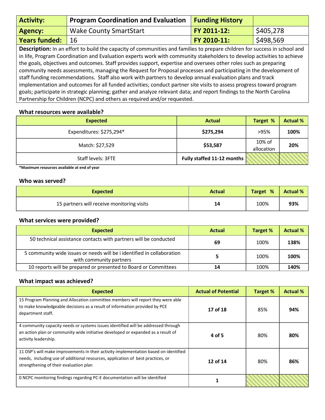| <b>Activity:</b>     | <b>Program Coordination and Evaluation</b>                                                                                                                                                                                                                                                                                                                                                                                                                                                                                                                                                                                                                                                                                                                                                                                                                                                                                            | <b>Funding History</b> |           |
|----------------------|---------------------------------------------------------------------------------------------------------------------------------------------------------------------------------------------------------------------------------------------------------------------------------------------------------------------------------------------------------------------------------------------------------------------------------------------------------------------------------------------------------------------------------------------------------------------------------------------------------------------------------------------------------------------------------------------------------------------------------------------------------------------------------------------------------------------------------------------------------------------------------------------------------------------------------------|------------------------|-----------|
| <b>Agency:</b>       | <b>Wake County SmartStart</b>                                                                                                                                                                                                                                                                                                                                                                                                                                                                                                                                                                                                                                                                                                                                                                                                                                                                                                         | FY 2011-12:            | \$405,278 |
| <b>Years funded:</b> | 16                                                                                                                                                                                                                                                                                                                                                                                                                                                                                                                                                                                                                                                                                                                                                                                                                                                                                                                                    | FY 2010-11:            | \$498,569 |
|                      | Description: In an effort to build the capacity of communities and families to prepare children for success in school and<br>in life, Program Coordination and Evaluation experts work with community stakeholders to develop activities to achieve<br>the goals, objectives and outcomes. Staff provides support, expertise and oversees other roles such as preparing<br>community needs assessments, managing the Request for Proposal processes and participating in the development of<br>staff funding recommendations. Staff also work with partners to develop annual evaluation plans and track<br>implementation and outcomes for all funded activities; conduct partner site visits to assess progress toward program<br>goals; participate in strategic planning; gather and analyze relevant data; and report findings to the North Carolina<br>Partnership for Children (NCPC) and others as required and/or requested. |                        |           |

| <b>Expected</b>          | <b>Actual</b>              | Target %             | <b>Actual %</b> |
|--------------------------|----------------------------|----------------------|-----------------|
| Expenditures: \$275,294* | \$275,294                  | >95%                 | 100%            |
| Match: \$27,529          | \$53,587                   | 10% of<br>allocation | 20%             |
| Staff levels: 3FTE       | Fully staffed 11-12 months |                      |                 |

**\*Maximum resources available at end of year**

#### **Who was served?**

| <b>Expected</b>                            | <b>Actual</b> | Target % | <b>Actual %</b> |
|--------------------------------------------|---------------|----------|-----------------|
| 15 partners will receive monitoring visits | 14            | 100%     | 93%             |

#### **What services were provided?**

| <b>Expected</b>                                                                                   | Actual | Target % | <b>Actual %</b> |
|---------------------------------------------------------------------------------------------------|--------|----------|-----------------|
| 50 technical assistance contacts with partners will be conducted                                  | 69     | 100%     | 138%            |
| 5 community wide issues or needs will be i identified in collaboration<br>with community partners |        | 100%     | 100%            |
| 10 reports will be prepared or presented to Board or Committees                                   | 14     | 100%     | 140%            |

| <b>Expected</b>                                                                                                                                                                                                   | <b>Actual of Potential</b> | Target % | <b>Actual %</b> |
|-------------------------------------------------------------------------------------------------------------------------------------------------------------------------------------------------------------------|----------------------------|----------|-----------------|
| 15 Program Planning and Allocation committee members will report they were able<br>to make knowledgeable decisions as a result of information provided by PCE<br>department staff.                                | 17 of 18                   | 85%      | 94%             |
| 4 community capacity needs or systems issues identified will be addressed through<br>an action plan or community wide initiative developed or expanded as a result of<br>activity leadership.                     | 4 of 5                     | 80%      | 80%             |
| 11 DSP's will make improvements in their activity implementation based on identified<br>needs, including use of additional resources, application of best practices, or<br>strengthening of their evaluation plan | 12 of 14                   | 80%      | 86%             |
| 0 NCPC monitoring findings regarding PC-E documentation will be identified                                                                                                                                        |                            |          |                 |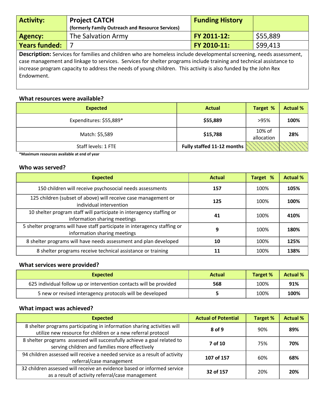| <b>Activity:</b>     | <b>Project CATCH</b><br>(formerly Family Outreach and Resource Services) | <b>Funding History</b> |          |
|----------------------|--------------------------------------------------------------------------|------------------------|----------|
| Agency:              | The Salvation Army                                                       | <b>FY 2011-12:</b>     | \$55,889 |
| <b>Years funded:</b> |                                                                          | <b>FY 2010-11:</b>     | \$99,413 |

**Description:** Services for families and children who are homeless include developmental screening, needs assessment, case management and linkage to services. Services for shelter programs include training and technical assistance to increase program capacity to address the needs of young children. This activity is also funded by the John Rex Endowment.

#### **What resources were available?**

| <b>Expected</b>         | <b>Actual</b>              | Target %             | <b>Actual %</b> |
|-------------------------|----------------------------|----------------------|-----------------|
| Expenditures: \$55,889* | \$55,889                   | >95%                 | 100%            |
| Match: \$5,589          | \$15,788                   | 10% of<br>allocation | 28%             |
| Staff levels: 1 FTE     | Fully staffed 11-12 months |                      |                 |

**\*Maximum resources available at end of year**

#### **Who was served?**

| <b>Expected</b>                                                                                           | <b>Actual</b> | Target % | <b>Actual %</b> |
|-----------------------------------------------------------------------------------------------------------|---------------|----------|-----------------|
| 150 children will receive psychosocial needs assessments                                                  | 157           | 100%     | 105%            |
| 125 children (subset of above) will receive case management or<br>individual intervention                 | 125           | 100%     | 100%            |
| 10 shelter program staff will participate in interagency staffing or<br>information sharing meetings      | 41            | 100%     | 410%            |
| 5 shelter programs will have staff participate in interagency staffing or<br>information sharing meetings | 9             | 100%     | 180%            |
| 8 shelter programs will have needs assessment and plan developed                                          | 10            | 100%     | 125%            |
| 8 shelter programs receive technical assistance or training                                               | 11            | 100%     | 138%            |

#### **What services were provided?**

| <b>Expected</b>                                                    | <b>Actual</b> | Target % | <b>Actual %</b> |
|--------------------------------------------------------------------|---------------|----------|-----------------|
| 625 individual follow up or intervention contacts will be provided | 568           | 100%     | 91%             |
| 5 new or revised interagency protocols will be developed           |               | 100%     | 100%            |

| <b>Expected</b>                                                                                                                         | <b>Actual of Potential</b> | <b>Target %</b> | <b>Actual %</b> |
|-----------------------------------------------------------------------------------------------------------------------------------------|----------------------------|-----------------|-----------------|
| 8 shelter programs participating in information sharing activities will<br>utilize new resource for children or a new referral protocol | 8 of 9                     | 90%             | 89%             |
| 8 shelter programs assessed will successfully achieve a goal related to<br>serving children and families more effectively               | 7 of 10                    | 75%             | 70%             |
| 94 children assessed will receive a needed service as a result of activity<br>referral/case management                                  | 107 of 157                 | 60%             | 68%             |
| 32 children assessed will receive an evidence based or informed service<br>as a result of activity referral/case management             | 32 of 157                  | 20%             | 20%             |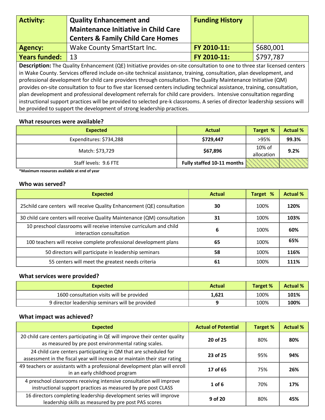| <b>Activity:</b> | <b>Quality Enhancement and</b><br><b>Maintenance Initiative in Child Care</b><br><b>Centers &amp; Family Child Care Homes</b> | <b>Funding History</b> |           |
|------------------|-------------------------------------------------------------------------------------------------------------------------------|------------------------|-----------|
| <b>Agency:</b>   | Wake County SmartStart Inc.                                                                                                   | FY 2010-11:            | \$680,001 |
| Years funded:    | 13                                                                                                                            | FY 2010-11:            | \$797,787 |
|                  |                                                                                                                               |                        |           |

**Description:** The Quality Enhancement (QE) Initiative provides on-site consultation to one to three star licensed centers in Wake County. Services offered include on-site technical assistance, training, consultation, plan development, and professional development for child care providers through consultation. The Quality Maintenance Initiative (QM) provides on-site consultation to four to five star licensed centers including technical assistance, training, consultation, plan development and professional development referrals for child care providers. Intensive consultation regarding instructional support practices will be provided to selected pre-k classrooms. A series of director leadership sessions will be provided to support the development of strong leadership practices.

#### **What resources were available?**

| <b>Expected</b>         | <b>Actual</b>              | Target %             | <b>Actual %</b> |
|-------------------------|----------------------------|----------------------|-----------------|
| Expenditures: \$734,288 | \$729,447                  | >95%                 | 99.3%           |
| Match: \$73,729         | \$67,896                   | 10% of<br>allocation | 9.2%            |
| Staff levels: 9.6 FTE   | Fully staffed 10-11 months |                      |                 |

**\*Maximum resources available at end of year**

#### **Who was served?**

| <b>Expected</b>                                                                                 | <b>Actual</b> | Target % | <b>Actual %</b> |
|-------------------------------------------------------------------------------------------------|---------------|----------|-----------------|
| 25 child care centers will receive Quality Enhancement (QE) consultation                        | 30            | 100%     | 120%            |
| 30 child care centers will receive Quality Maintenance (QM) consultation                        | 31            | 100%     | 103%            |
| 10 preschool classrooms will receive intensive curriculum and child<br>interaction consultation | 6             | 100%     | 60%             |
| 100 teachers will receive complete professional development plans                               | 65            | 100%     | 65%             |
| 50 directors will participate in leadership seminars                                            | 58            | 100%     | 116%            |
| 55 centers will meet the greatest needs criteria                                                | 61            | 100%     | 111%            |

#### **What services were provided?**

| <b>Expected</b>                                 | Actual | <b>Target %</b> | <b>Actual %</b> |
|-------------------------------------------------|--------|-----------------|-----------------|
| 1600 consultation visits will be provided       | 1.621  | 100%            | 101%            |
| 9 director leadership seminars will be provided |        | 100%            | 100%            |

| <b>Expected</b>                                                                                                                               | <b>Actual of Potential</b> | <b>Target %</b> | <b>Actual %</b> |
|-----------------------------------------------------------------------------------------------------------------------------------------------|----------------------------|-----------------|-----------------|
| 20 child care centers participating in QE will improve their center quality<br>as measured by pre post environmental rating scales.           | 20 of 25                   | 80%             | 80%             |
| 24 child care centers participating in QM that are scheduled for<br>assessment in the fiscal year will increase or maintain their star rating | 23 of 25                   | 95%             | 94%             |
| 49 teachers or assistants with a professional development plan will enroll<br>in an early childhood program                                   | 17 of 65                   | 75%             | 26%             |
| 4 preschool classrooms receiving intensive consultation will improve<br>instructional support practices as measured by pre post CLASS         | $1$ of 6                   | 70%             | 17%             |
| 16 directors completing leadership development series will improve<br>leadership skills as measured by pre post PAS scores                    | 9 of 20                    | 80%             | 45%             |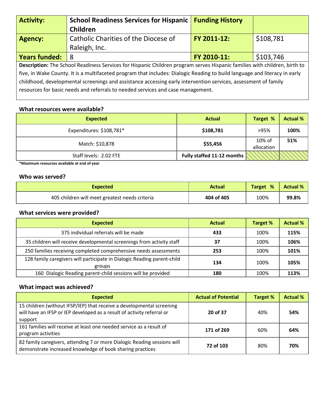| <b>Activity:</b>                                                                                                           | <b>School Readiness Services for Hispanic   Funding History</b>                                                           |             |           |  |  |
|----------------------------------------------------------------------------------------------------------------------------|---------------------------------------------------------------------------------------------------------------------------|-------------|-----------|--|--|
|                                                                                                                            | Children                                                                                                                  |             |           |  |  |
| <b>Agency:</b>                                                                                                             | Catholic Charities of the Diocese of                                                                                      | FY 2011-12: | \$108,781 |  |  |
|                                                                                                                            | Raleigh, Inc.                                                                                                             |             |           |  |  |
| <b>Years funded:</b>                                                                                                       | -8                                                                                                                        | FY 2010-11: | \$103,746 |  |  |
|                                                                                                                            | Description: The School Readiness Services for Hispanic Children program serves Hispanic families with children, birth to |             |           |  |  |
| five, in Wake County. It is a multifaceted program that includes: Dialogic Reading to build language and literacy in early |                                                                                                                           |             |           |  |  |
| childhood, developmental screenings and assistance accessing early intervention services, assessment of family             |                                                                                                                           |             |           |  |  |
|                                                                                                                            | resources for basic needs and referrals to needed services and case management.                                           |             |           |  |  |

| <b>Expected</b>          | <b>Actual</b>              | Target %             | <b>Actual %</b> |
|--------------------------|----------------------------|----------------------|-----------------|
| Expenditures: \$108,781* | \$108,781                  | >95%                 | 100%            |
| Match: \$10,878          | \$55,456                   | 10% of<br>allocation | 51%             |
| Staff levels: 2.02 FTE   | Fully staffed 11-12 months |                      |                 |

**\*Maximum resources available at end of year**

#### **Who was served?**

| <b>Expected</b>                                | Actual     | Target % | <b>Actual %</b> |
|------------------------------------------------|------------|----------|-----------------|
| 405 children will meet greatest needs criteria | 404 of 405 | 100%     | 99.8%           |

#### **What services were provided?**

| <b>Expected</b>                                                                   | <b>Actual</b> | Target % | <b>Actual %</b> |
|-----------------------------------------------------------------------------------|---------------|----------|-----------------|
| 375 individual referrals will be made                                             | 433           | 100%     | 115%            |
| 35 children will receive developmental screenings from activity staff             | 37            | 100%     | 106%            |
| 250 families receiving completed comprehensive needs assessments                  | 253           | 100%     | 101%            |
| 128 family caregivers will participate in Dialogic Reading parent-child<br>groups | 134           | 100%     | 105%            |
| 160 Dialogic Reading parent-child sessions will be provided                       | 180           | 100%     | 113%            |

| <b>Expected</b>                                                                                                                                            | <b>Actual of Potential</b> | Target % | <b>Actual %</b> |
|------------------------------------------------------------------------------------------------------------------------------------------------------------|----------------------------|----------|-----------------|
| 15 children (without IFSP/IEP) that receive a developmental screening<br>will have an IFSP or IEP developed as a result of activity referral or<br>support | 20 of 37                   | 40%      | 54%             |
| 161 families will receive at least one needed service as a result of<br>program activities                                                                 | 171 of 269                 | 60%      | 64%             |
| 82 family caregivers, attending 7 or more Dialogic Reading sessions will<br>demonstrate increased knowledge of book sharing practices                      | 72 of 103                  | 80%      | 70%             |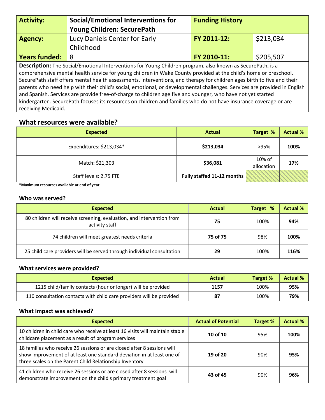| <b>Activity:</b>                                                                                                          | <b>Social/Emotional Interventions for</b><br>Young Children: SecurePath | <b>Funding History</b> |           |  |
|---------------------------------------------------------------------------------------------------------------------------|-------------------------------------------------------------------------|------------------------|-----------|--|
| <b>Agency:</b>                                                                                                            | Lucy Daniels Center for Early                                           | FY 2011-12:            | \$213,034 |  |
|                                                                                                                           | Childhood                                                               |                        |           |  |
| <b>Years funded:</b>                                                                                                      | 8                                                                       | FY 2010-11:            | \$205,507 |  |
| Description: The Social/Emotional Interventions for Young Children program, also known as SecurePath, is a                |                                                                         |                        |           |  |
| comprehensive mental health service for young children in Wake County provided at the child's home or preschool.          |                                                                         |                        |           |  |
| SecurePath staff offers mental health assessments, interventions, and therapy for children ages birth to five and their   |                                                                         |                        |           |  |
| parents who need help with their child's social, emotional, or developmental challenges. Services are provided in English |                                                                         |                        |           |  |
| and Spanish. Services are provide free-of-charge to children age five and younger, who have not yet started               |                                                                         |                        |           |  |
| kindergarten. SecurePath focuses its resources on children and families who do not have insurance coverage or are         |                                                                         |                        |           |  |
| receiving Medicaid.                                                                                                       |                                                                         |                        |           |  |

| <b>Expected</b>          | <b>Actual</b>              | Target %             | <b>Actual %</b> |
|--------------------------|----------------------------|----------------------|-----------------|
| Expenditures: \$213,034* | \$213,034                  | >95%                 | 100%            |
| Match: \$21,303          | \$36,081                   | 10% of<br>allocation | 17%             |
| Staff levels: 2.75 FTE   | Fully staffed 11-12 months |                      |                 |

**\*Maximum resources available at end of year**

#### **Who was served?**

| <b>Expected</b>                                                                         | <b>Actual</b> | Target % | <b>Actual %</b> |
|-----------------------------------------------------------------------------------------|---------------|----------|-----------------|
| 80 children will receive screening, evaluation, and intervention from<br>activity staff | 75            | 100%     | 94%             |
| 74 children will meet greatest needs criteria                                           | 75 of 75      | 98%      | 100%            |
| 25 child care providers will be served through individual consultation                  | 29            | 100%     | 116%            |

#### **What services were provided?**

| <b>Expected</b>                                                      | <b>Actual</b> | Target % | <b>Actual %</b> |
|----------------------------------------------------------------------|---------------|----------|-----------------|
| 1215 child/family contacts (hour or longer) will be provided         | 1157          | 100%     | 95%             |
| 110 consultation contacts with child care providers will be provided |               | 100%     | 79%             |

| <b>Expected</b>                                                                                                                                                                                              | <b>Actual of Potential</b> | Target % | <b>Actual %</b> |
|--------------------------------------------------------------------------------------------------------------------------------------------------------------------------------------------------------------|----------------------------|----------|-----------------|
| 10 children in child care who receive at least 16 visits will maintain stable<br>childcare placement as a result of program services                                                                         | $10$ of $10$               | 95%      | 100%            |
| 18 families who receive 26 sessions or are closed after 8 sessions will<br>show improvement of at least one standard deviation in at least one of<br>three scales on the Parent Child Relationship Inventory | 19 of 20                   | 90%      | 95%             |
| 41 children who receive 26 sessions or are closed after 8 sessions will<br>demonstrate improvement on the child's primary treatment goal                                                                     | 43 of 45                   | 90%      | 96%             |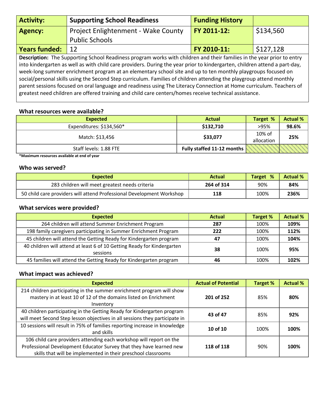| <b>Activity:</b>     | <b>Supporting School Readiness</b>                                                                                                                                                                                                                                                                                                                                                                                                                                                                                                                                                                                                                                                                                             | <b>Funding History</b> |           |
|----------------------|--------------------------------------------------------------------------------------------------------------------------------------------------------------------------------------------------------------------------------------------------------------------------------------------------------------------------------------------------------------------------------------------------------------------------------------------------------------------------------------------------------------------------------------------------------------------------------------------------------------------------------------------------------------------------------------------------------------------------------|------------------------|-----------|
| <b>Agency:</b>       | Project Enlightenment - Wake County                                                                                                                                                                                                                                                                                                                                                                                                                                                                                                                                                                                                                                                                                            | FY 2011-12:            | \$134,560 |
|                      | <b>Public Schools</b>                                                                                                                                                                                                                                                                                                                                                                                                                                                                                                                                                                                                                                                                                                          |                        |           |
| <b>Years funded:</b> | 12                                                                                                                                                                                                                                                                                                                                                                                                                                                                                                                                                                                                                                                                                                                             | FY 2010-11:            | \$127,128 |
|                      | Description: The Supporting School Readiness program works with children and their families in the year prior to entry<br>into kindergarten as well as with child care providers. During the year prior to kindergarten, children attend a part-day,<br>week-long summer enrichment program at an elementary school site and up to ten monthly playgroups focused on<br>social/personal skills using the Second Step curriculum. Families of children attending the playgroup attend monthly<br>parent sessions focused on oral language and readiness using The Literacy Connection at Home curriculum. Teachers of<br>greatest need children are offered training and child care centers/homes receive technical assistance. |                        |           |

| <b>Expected</b>          | <b>Actual</b>              | Target %             | <b>Actual %</b> |
|--------------------------|----------------------------|----------------------|-----------------|
| Expenditures: \$134,560* | \$132,710                  | >95%                 | 98.6%           |
| Match: \$13,456          | \$33,077                   | 10% of<br>allocation | 25%             |
| Staff levels: 1.88 FTE   | Fully staffed 11-12 months |                      |                 |

**\*Maximum resources available at end of year**

#### **Who was served?**

| <b>Expected</b>                                                       | <b>Actual</b> | %<br><b>Target</b> | <b>Actual %</b> |
|-----------------------------------------------------------------------|---------------|--------------------|-----------------|
| 283 children will meet greatest needs criteria                        | 264 of 314    | 90%                | 84%             |
| 50 child care providers will attend Professional Development Workshop | 118           | 100%               | 236%            |

#### **What services were provided?**

| <b>Expected</b>                                                                     | <b>Actual</b> | Target % | <b>Actual %</b> |
|-------------------------------------------------------------------------------------|---------------|----------|-----------------|
| 264 children will attend Summer Enrichment Program                                  | 287           | 100%     | 109%            |
| 198 family caregivers participating in Summer Enrichment Program                    | 222           | 100%     | 112%            |
| 45 children will attend the Getting Ready for Kindergarten program                  | 47            | 100%     | 104%            |
| 40 children will attend at least 6 of 10 Getting Ready for Kindergarten<br>sessions | 38            | 100%     | 95%             |
| 45 families will attend the Getting Ready for Kindergarten program                  | 46            | 100%     | 102%            |

| <b>Expected</b>                                                             | <b>Actual of Potential</b> | Target % | <b>Actual %</b> |
|-----------------------------------------------------------------------------|----------------------------|----------|-----------------|
| 214 children participating in the summer enrichment program will show       |                            |          |                 |
| mastery in at least 10 of 12 of the domains listed on Enrichment            | 201 of 252                 | 85%      | 80%             |
| Inventory                                                                   |                            |          |                 |
| 40 children participating in the Getting Ready for Kindergarten program     | 43 of 47                   | 85%      | 92%             |
| will meet Second Step lesson objectives in all sessions they participate in |                            |          |                 |
| 10 sessions will result in 75% of families reporting increase in knowledge  | 10 of 10                   | 100%     | 100%            |
| and skills                                                                  |                            |          |                 |
| 106 child care providers attending each workshop will report on the         |                            |          |                 |
| Professional Development Educator Survey that they have learned new         | 118 of 118                 | 90%      | 100%            |
| skills that will be implemented in their preschool classrooms               |                            |          |                 |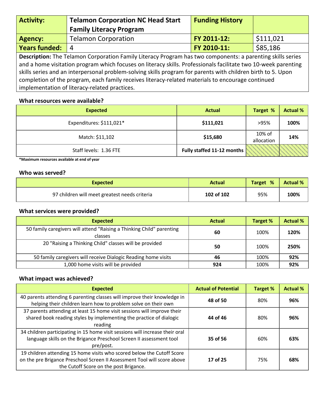| <b>Activity:</b>                                                                                               | <b>Telamon Corporation NC Head Start</b> | <b>Funding History</b> |           |  |
|----------------------------------------------------------------------------------------------------------------|------------------------------------------|------------------------|-----------|--|
|                                                                                                                | <b>Family Literacy Program</b>           |                        |           |  |
| <b>Agency:</b>                                                                                                 | <b>Telamon Corporation</b>               | FY 2011-12:            | \$111,021 |  |
| <b>Years funded:</b>                                                                                           | $\overline{4}$                           | FY 2010-11:            | \$85,186  |  |
| Description: The Telamon Corporation Family Literacy Program has two components: a parenting skills series     |                                          |                        |           |  |
| and a home visitation program which focuses on literacy skills. Professionals facilitate two 10-week parenting |                                          |                        |           |  |
| skills series and an interpersonal problem-solving skills program for parents with children birth to 5. Upon   |                                          |                        |           |  |

completion of the program, each family receives literacy-related materials to encourage continued implementation of literacy-related practices.

#### **What resources were available?**

| <b>Expected</b>          | <b>Actual</b>              | Target %             | <b>Actual %</b> |
|--------------------------|----------------------------|----------------------|-----------------|
| Expenditures: \$111,021* | \$111,021                  | >95%                 | 100%            |
| Match: \$11,102          | \$15,680                   | 10% of<br>allocation | 14%             |
| Staff levels: 1.36 FTE   | Fully staffed 11-12 months |                      |                 |

**\*Maximum resources available at end of year**

#### **Who was served?**

| Expected                                      | <b>Actual</b> | Target % | <b>Actual %</b> |
|-----------------------------------------------|---------------|----------|-----------------|
| 97 children will meet greatest needs criteria | 102 of 102    | 95%      | 100%            |

#### **What services were provided?**

| <b>Expected</b>                                                                  | <b>Actual</b> | Target % | <b>Actual %</b> |
|----------------------------------------------------------------------------------|---------------|----------|-----------------|
| 50 family caregivers will attend "Raising a Thinking Child" parenting<br>classes | 60            | 100%     | 120%            |
| 20 "Raising a Thinking Child" classes will be provided                           | 50            | 100%     | 250%            |
| 50 family caregivers will receive Dialogic Reading home visits                   | 46            | 100%     | 92%             |
| 1,000 home visits will be provided                                               | 924           | 100%     | 92%             |

| <b>Expected</b>                                                                                                                                                                              | <b>Actual of Potential</b> | Target % | <b>Actual %</b> |
|----------------------------------------------------------------------------------------------------------------------------------------------------------------------------------------------|----------------------------|----------|-----------------|
| 40 parents attending 6 parenting classes will improve their knowledge in<br>helping their children learn how to problem solve on their own                                                   | 48 of 50                   | 80%      | 96%             |
| 37 parents attending at least 15 home visit sessions will improve their<br>shared book reading styles by implementing the practice of dialogic<br>reading                                    | 44 of 46                   | 80%      | 96%             |
| 34 children participating in 15 home visit sessions will increase their oral<br>language skills on the Brigance Preschool Screen II assessment tool<br>pre/post.                             | 35 of 56                   | 60%      | 63%             |
| 19 children attending 15 home visits who scored below the Cutoff Score<br>on the pre Brigance Preschool Screen II Assessment Tool will score above<br>the Cutoff Score on the post Brigance. | 17 of 25                   | 75%      | 68%             |